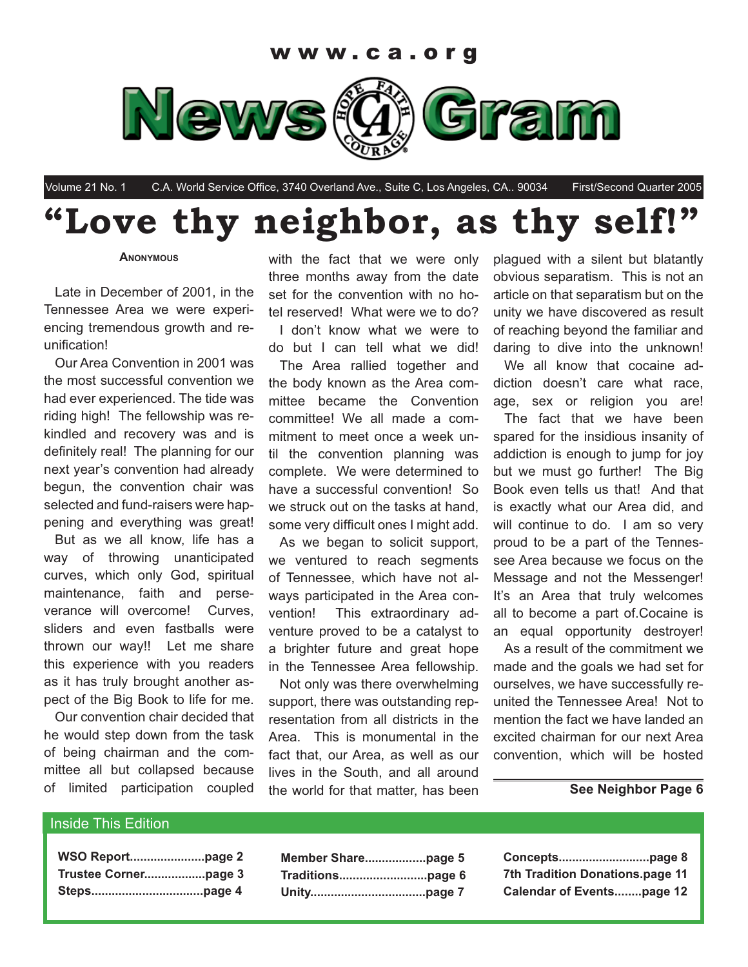

Volume 21 No. 1 C.A. World Service Office, 3740 Overland Ave., Suite C, Los Angeles, CA.. 90034 First/Second Quarter 2005

### **"Love thy neighbor, as thy self!"**

#### **ANONYMOUS**

Late in December of 2001, in the Tennessee Area we were experiencing tremendous growth and reunification!

Our Area Convention in 2001 was the most successful convention we had ever experienced. The tide was riding high! The fellowship was rekindled and recovery was and is definitely real! The planning for our next year's convention had already begun, the convention chair was selected and fund-raisers were happening and everything was great!

But as we all know, life has a way of throwing unanticipated curves, which only God, spiritual maintenance, faith and perseverance will overcome! Curves, sliders and even fastballs were thrown our way!! Let me share this experience with you readers as it has truly brought another aspect of the Big Book to life for me.

Our convention chair decided that he would step down from the task of being chairman and the committee all but collapsed because of limited participation coupled

with the fact that we were only three months away from the date set for the convention with no hotel reserved! What were we to do? I don't know what we were to do but I can tell what we did!

The Area rallied together and the body known as the Area committee became the Convention committee! We all made a commitment to meet once a week until the convention planning was complete. We were determined to have a successful convention! So we struck out on the tasks at hand, some very difficult ones I might add.

As we began to solicit support, we ventured to reach segments of Tennessee, which have not always participated in the Area convention! This extraordinary adventure proved to be a catalyst to a brighter future and great hope in the Tennessee Area fellowship.

Not only was there overwhelming support, there was outstanding representation from all districts in the Area. This is monumental in the fact that, our Area, as well as our lives in the South, and all around the world for that matter, has been

plagued with a silent but blatantly obvious separatism. This is not an article on that separatism but on the unity we have discovered as result of reaching beyond the familiar and daring to dive into the unknown!

We all know that cocaine addiction doesn't care what race, age, sex or religion you are!

The fact that we have been spared for the insidious insanity of addiction is enough to jump for joy but we must go further! The Big Book even tells us that! And that is exactly what our Area did, and will continue to do. I am so very proud to be a part of the Tennessee Area because we focus on the Message and not the Messenger! It's an Area that truly welcomes all to become a part of.Cocaine is an equal opportunity destroyer!

As a result of the commitment we made and the goals we had set for ourselves, we have successfully reunited the Tennessee Area! Not to mention the fact we have landed an excited chairman for our next Area convention, which will be hosted

#### **See Neighbor Page 6**

#### Inside This Edition

| WSO Reportpage 2 |  |
|------------------|--|
|                  |  |
|                  |  |

| 7th Tradition Donations.page 11  |
|----------------------------------|
| <b>Calendar of Eventspage 12</b> |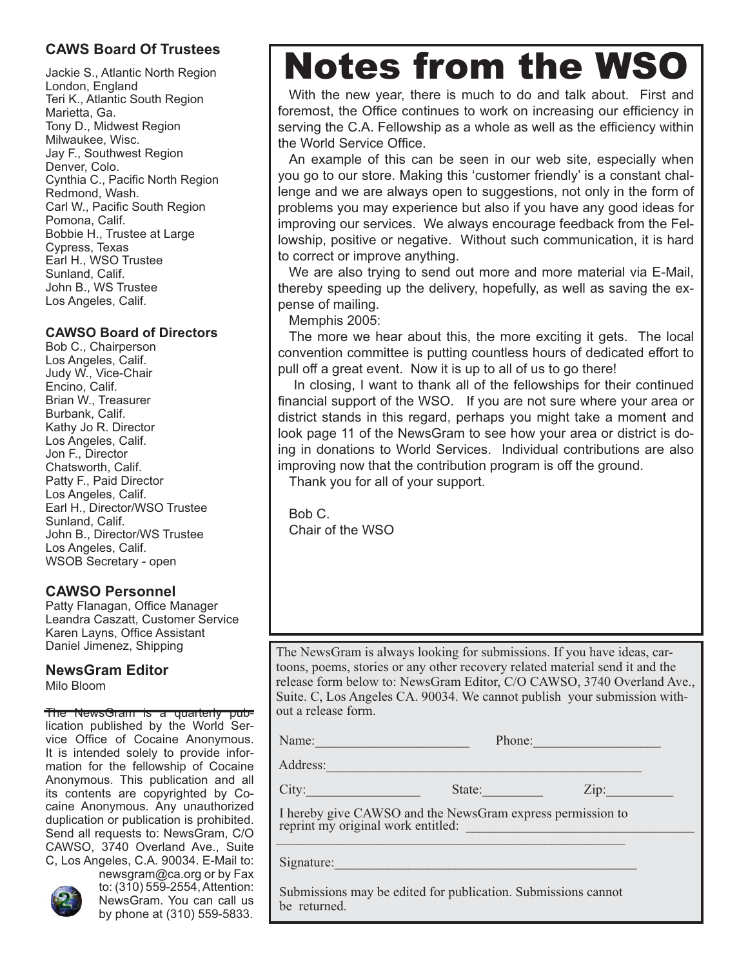#### **CAWS Board Of Trustees**

Jackie S., Atlantic North Region London, England Teri K., Atlantic South Region Marietta, Ga. Tony D., Midwest Region Milwaukee, Wisc. Jay F., Southwest Region Denver, Colo. Cynthia C., Pacific North Region Redmond, Wash. Carl W., Pacific South Region Pomona, Calif. Bobbie H., Trustee at Large Cypress, Texas Earl H., WSO Trustee Sunland, Calif. John B., WS Trustee Los Angeles, Calif.

#### **CAWSO Board of Directors**

Bob C., Chairperson Los Angeles, Calif. Judy W., Vice-Chair Encino, Calif. Brian W., Treasurer Burbank, Calif. Kathy Jo R. Director Los Angeles, Calif. Jon F., Director Chatsworth, Calif. Patty F., Paid Director Los Angeles, Calif. Earl H., Director/WSO Trustee Sunland, Calif. John B., Director/WS Trustee Los Angeles, Calif. WSOB Secretary - open

#### **CAWSO Personnel**

Patty Flanagan, Office Manager Leandra Caszatt, Customer Service Karen Layns, Office Assistant Daniel Jimenez, Shipping

#### **NewsGram Editor**

Milo Bloom

#### The NewsGram is a quarterly pub-

lication published by the World Service Office of Cocaine Anonymous. It is intended solely to provide information for the fellowship of Cocaine Anonymous. This publication and all its contents are copyrighted by Cocaine Anonymous. Any unauthorized duplication or publication is prohibited. Send all requests to: NewsGram, C/O CAWSO, 3740 Overland Ave., Suite C, Los Angeles, C.A. 90034. E-Mail to:



newsgram@ca.org or by Fax to: (310) 559-2554, Attention: NewsGram. You can call us by phone at (310) 559-5833.

## Notes from the WSO

With the new year, there is much to do and talk about. First and foremost, the Office continues to work on increasing our efficiency in serving the C.A. Fellowship as a whole as well as the efficiency within the World Service Office.

An example of this can be seen in our web site, especially when you go to our store. Making this 'customer friendly' is a constant challenge and we are always open to suggestions, not only in the form of problems you may experience but also if you have any good ideas for improving our services. We always encourage feedback from the Fellowship, positive or negative. Without such communication, it is hard to correct or improve anything.

We are also trying to send out more and more material via E-Mail, thereby speeding up the delivery, hopefully, as well as saving the expense of mailing.

Memphis 2005:

The more we hear about this, the more exciting it gets. The local convention committee is putting countless hours of dedicated effort to pull off a great event. Now it is up to all of us to go there!

 In closing, I want to thank all of the fellowships for their continued financial support of the WSO. If you are not sure where your area or district stands in this regard, perhaps you might take a moment and look page 11 of the NewsGram to see how your area or district is doing in donations to World Services. Individual contributions are also improving now that the contribution program is off the ground.

Thank you for all of your support.

Bob C. Chair of the WSO

The NewsGram is always looking for submissions. If you have ideas, cartoons, poems, stories or any other recovery related material send it and the release form below to: NewsGram Editor, C/O CAWSO, 3740 Overland Ave., Suite. C, Los Angeles CA. 90034. We cannot publish your submission without a release form.

Name: The Phone: Phone: Phone: Phone: Phone: 2014

Address:

City: State: 2ip:

 I hereby give CAWSO and the NewsGram express permission to reprint my original work entitled:  $\overline{\phantom{a}}$ 

Signature:

 Submissions may be edited for publication. Submissions cannot be returned.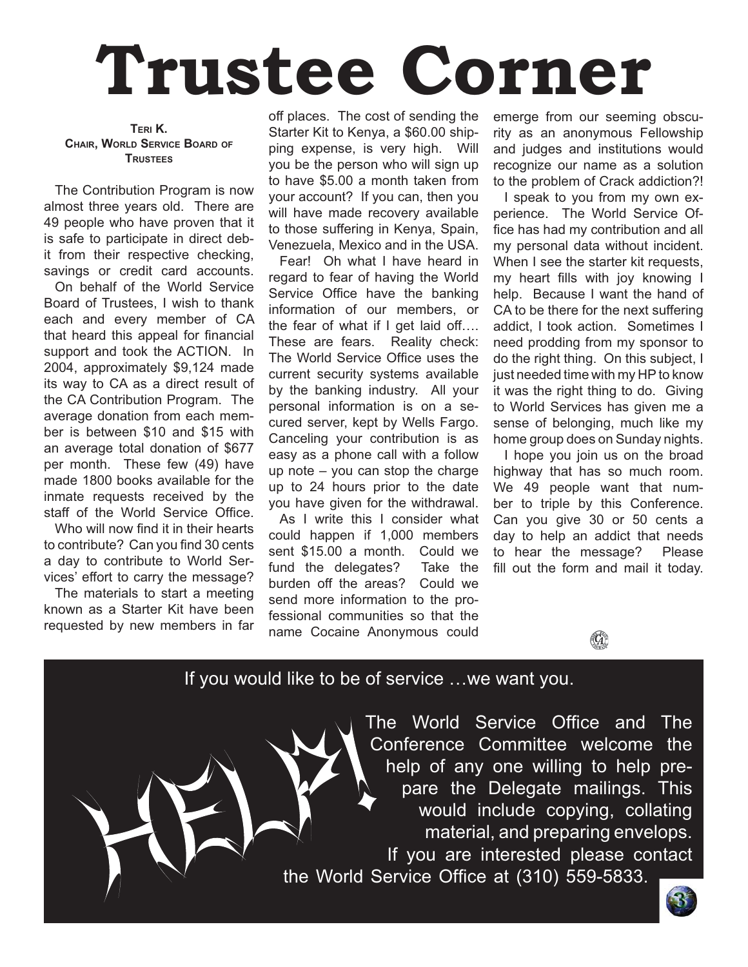# **Trustee Corner**

**TERI K. CHAIR, WORLD SERVICE BOARD OF TRUSTEES**

The Contribution Program is now almost three years old. There are 49 people who have proven that it is safe to participate in direct debit from their respective checking, savings or credit card accounts.

On behalf of the World Service Board of Trustees, I wish to thank each and every member of CA that heard this appeal for financial support and took the ACTION. In 2004, approximately \$9,124 made its way to CA as a direct result of the CA Contribution Program. The average donation from each member is between \$10 and \$15 with an average total donation of \$677 per month. These few (49) have made 1800 books available for the inmate requests received by the staff of the World Service Office.

Who will now find it in their hearts to contribute? Can you find 30 cents a day to contribute to World Services' effort to carry the message?

The materials to start a meeting known as a Starter Kit have been requested by new members in far off places. The cost of sending the Starter Kit to Kenya, a \$60.00 shipping expense, is very high. Will you be the person who will sign up to have \$5.00 a month taken from your account? If you can, then you will have made recovery available to those suffering in Kenya, Spain, Venezuela, Mexico and in the USA.

Fear! Oh what I have heard in regard to fear of having the World Service Office have the banking information of our members, or the fear of what if I get laid off.... These are fears. Reality check: The World Service Office uses the current security systems available by the banking industry. All your personal information is on a secured server, kept by Wells Fargo. Canceling your contribution is as easy as a phone call with a follow up note – you can stop the charge up to 24 hours prior to the date you have given for the withdrawal.

As I write this I consider what could happen if 1,000 members sent \$15.00 a month. Could we fund the delegates? Take the burden off the areas? Could we send more information to the professional communities so that the name Cocaine Anonymous could emerge from our seeming obscurity as an anonymous Fellowship and judges and institutions would recognize our name as a solution to the problem of Crack addiction?!

I speak to you from my own experience. The World Service Office has had my contribution and all my personal data without incident. When I see the starter kit requests, my heart fills with joy knowing I help. Because I want the hand of CA to be there for the next suffering addict, I took action. Sometimes I need prodding from my sponsor to do the right thing. On this subject, I just needed time with my HP to know it was the right thing to do. Giving to World Services has given me a sense of belonging, much like my home group does on Sunday nights.

I hope you join us on the broad highway that has so much room. We 49 people want that number to triple by this Conference. Can you give 30 or 50 cents a day to help an addict that needs to hear the message? Please fill out the form and mail it today.



#### If you would like to be of service …we want you.

The World Service Office and The Conference Committee welcome the help of any one willing to help prepare the Delegate mailings. This would include copying, collating material, and preparing envelops. If you are interested please contact the World Service Office at (310) 559-5833.

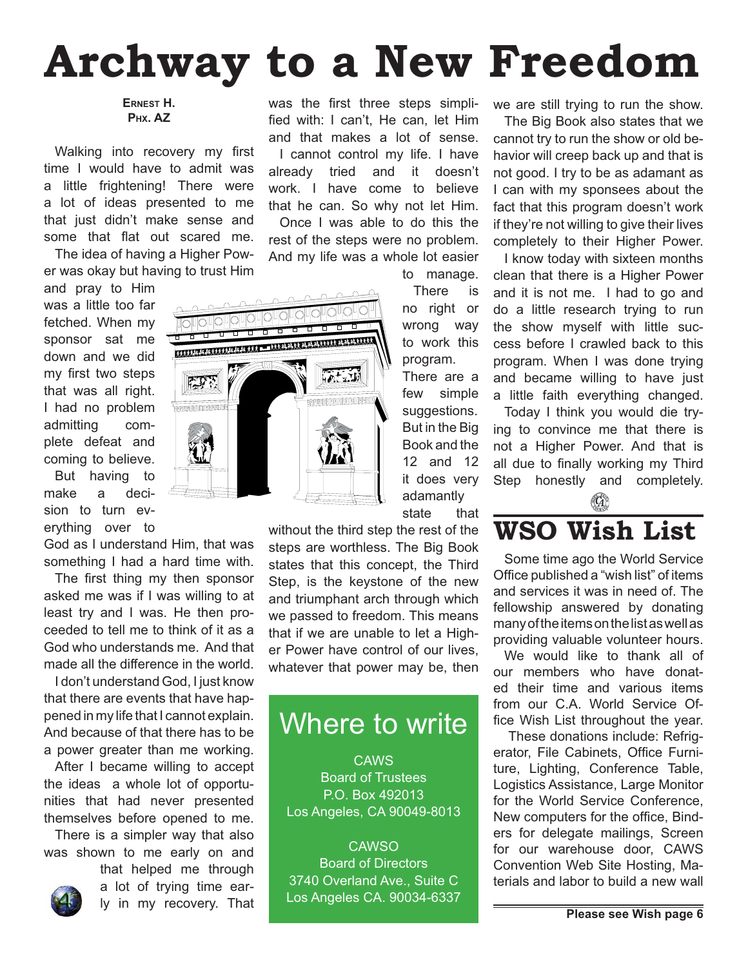## **Archway to a New Freedom**

**ERNEST H. PHX. AZ** 

Walking into recovery my first time I would have to admit was a little frightening! There were a lot of ideas presented to me that just didn't make sense and some that flat out scared me.

The idea of having a Higher Power was okay but having to trust Him

and pray to Him was a little too far fetched. When my sponsor sat me down and we did my first two steps that was all right. I had no problem admitting complete defeat and coming to believe.

But having to make a decision to turn everything over to

God as I understand Him, that was something I had a hard time with.

The first thing my then sponsor asked me was if I was willing to at least try and I was. He then proceeded to tell me to think of it as a God who understands me. And that made all the difference in the world.

I don't understand God, I just know that there are events that have happened in my life that I cannot explain. And because of that there has to be a power greater than me working.

After I became willing to accept the ideas a whole lot of opportunities that had never presented themselves before opened to me.

There is a simpler way that also was shown to me early on and

that helped me through a lot of trying time early in my recovery. That was the first three steps simplified with: I can't. He can, let Him and that makes a lot of sense. I cannot control my life. I have already tried and it doesn't work. I have come to believe that he can. So why not let Him. Once I was able to do this the rest of the steps were no problem. And my life was a whole lot easier

to manage.

There is no right or wrong way to work this program.

There are a few simple suggestions. But in the Big Book and the 12 and 12 it does very adamantly

state that

without the third step the rest of the steps are worthless. The Big Book states that this concept, the Third Step, is the keystone of the new and triumphant arch through which we passed to freedom. This means that if we are unable to let a Higher Power have control of our lives, whatever that power may be, then

### Where to write

CAWS Board of Trustees P.O. Box 492013 Los Angeles, CA 90049-8013

CAWSO Board of Directors 3740 Overland Ave., Suite C Los Angeles CA. 90034-6337 we are still trying to run the show.

The Big Book also states that we cannot try to run the show or old behavior will creep back up and that is not good. I try to be as adamant as I can with my sponsees about the fact that this program doesn't work if they're not willing to give their lives completely to their Higher Power.

I know today with sixteen months clean that there is a Higher Power and it is not me. I had to go and do a little research trying to run the show myself with little success before I crawled back to this program. When I was done trying and became willing to have just a little faith everything changed.

Today I think you would die trying to convince me that there is not a Higher Power. And that is all due to finally working my Third Step honestly and completely.  $\mathbb{G}$ 

**WSO Wish List**

Some time ago the World Service Office published a "wish list" of items and services it was in need of. The fellowship answered by donating many of the items on the list as well as providing valuable volunteer hours.

We would like to thank all of our members who have donated their time and various items from our C.A. World Service Office Wish List throughout the year.

 These donations include: Refrigerator, File Cabinets, Office Furniture, Lighting, Conference Table, Logistics Assistance, Large Monitor for the World Service Conference, New computers for the office, Binders for delegate mailings, Screen for our warehouse door, CAWS Convention Web Site Hosting, Materials and labor to build a new wall

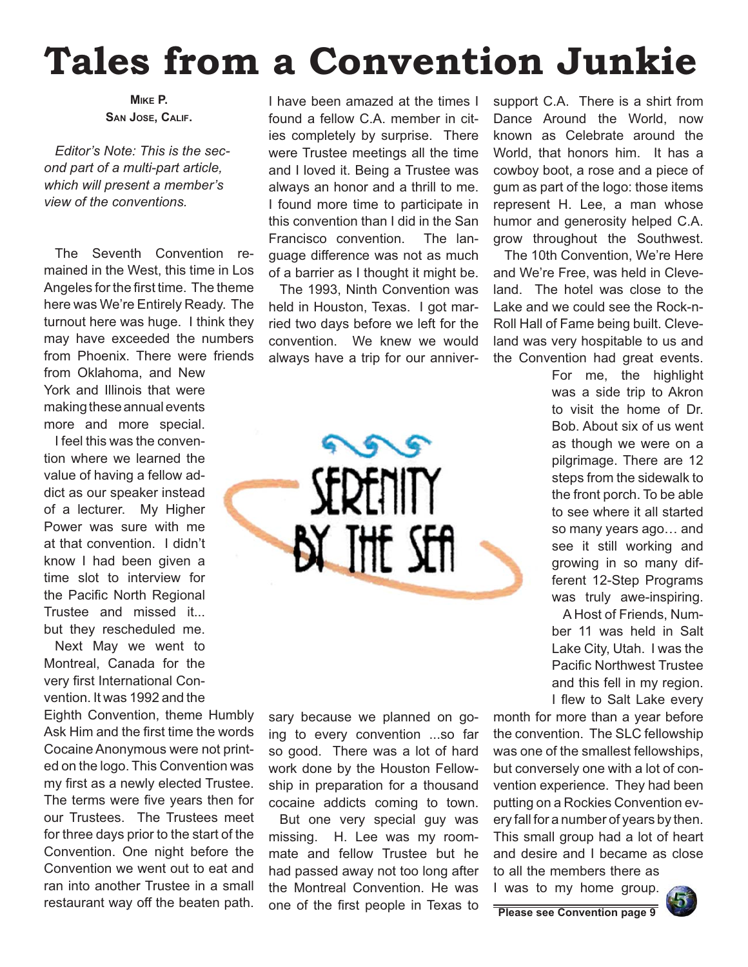## **Tales from a Convention Junkie**

**MIKE P. SAN JOSE, CALIF.**

*Editor's Note: This is the second part of a multi-part article, which will present a member's view of the conventions.*

The Seventh Convention remained in the West, this time in Los Angeles for the first time. The theme here was We're Entirely Ready. The turnout here was huge. I think they may have exceeded the numbers from Phoenix. There were friends

from Oklahoma, and New York and Illinois that were making these annual events more and more special.

I feel this was the convention where we learned the value of having a fellow addict as our speaker instead of a lecturer. My Higher Power was sure with me at that convention. I didn't know I had been given a time slot to interview for the Pacific North Regional Trustee and missed it... but they rescheduled me.

Next May we went to Montreal, Canada for the very first International Convention. It was 1992 and the

Eighth Convention, theme Humbly Ask Him and the first time the words Cocaine Anonymous were not printed on the logo. This Convention was my first as a newly elected Trustee. The terms were five years then for our Trustees. The Trustees meet for three days prior to the start of the Convention. One night before the Convention we went out to eat and ran into another Trustee in a small restaurant way off the beaten path. Done of the first people in Texas to **Please see Convention page 9** 

I have been amazed at the times I found a fellow C.A. member in cities completely by surprise. There were Trustee meetings all the time and I loved it. Being a Trustee was always an honor and a thrill to me. I found more time to participate in this convention than I did in the San Francisco convention. The language difference was not as much of a barrier as I thought it might be.

The 1993, Ninth Convention was held in Houston, Texas. I got married two days before we left for the convention. We knew we would always have a trip for our anniver-

grors

SERENITY

BY THE SEA

sary because we planned on going to every convention ...so far so good. There was a lot of hard work done by the Houston Fellowship in preparation for a thousand cocaine addicts coming to town.

But one very special guy was missing. H. Lee was my roommate and fellow Trustee but he had passed away not too long after the Montreal Convention. He was support C.A. There is a shirt from Dance Around the World, now known as Celebrate around the World, that honors him. It has a cowboy boot, a rose and a piece of gum as part of the logo: those items represent H. Lee, a man whose humor and generosity helped C.A. grow throughout the Southwest.

The 10th Convention, We're Here and We're Free, was held in Cleveland. The hotel was close to the Lake and we could see the Rock-n-Roll Hall of Fame being built. Cleveland was very hospitable to us and the Convention had great events.

> For me, the highlight was a side trip to Akron to visit the home of Dr. Bob. About six of us went as though we were on a pilgrimage. There are 12 steps from the sidewalk to the front porch. To be able to see where it all started so many years ago… and see it still working and growing in so many different 12-Step Programs was truly awe-inspiring.

A Host of Friends, Number 11 was held in Salt Lake City, Utah. I was the Pacific Northwest Trustee and this fell in my region. I flew to Salt Lake every

month for more than a year before the convention. The SLC fellowship was one of the smallest fellowships, but conversely one with a lot of convention experience. They had been putting on a Rockies Convention every fall for a number of years by then. This small group had a lot of heart and desire and I became as close to all the members there as

I was to my home group.



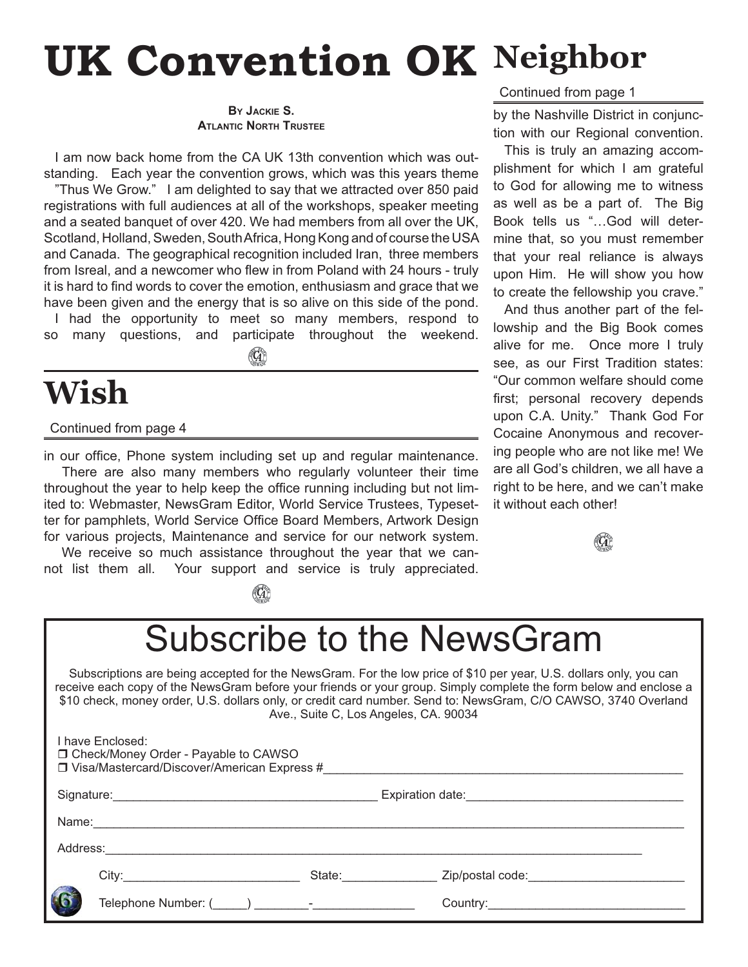## **UK Convention OK** Neighbor

**BY JACKIE S. ATLANTIC NORTH TRUSTEE**

I am now back home from the CA UK 13th convention which was outstanding. Each year the convention grows, which was this years theme

"Thus We Grow." I am delighted to say that we attracted over 850 paid registrations with full audiences at all of the workshops, speaker meeting and a seated banquet of over 420. We had members from all over the UK, Scotland, Holland, Sweden, South Africa, Hong Kong and of course the USA and Canada. The geographical recognition included Iran, three members from Isreal, and a newcomer who flew in from Poland with 24 hours - truly it is hard to find words to cover the emotion, enthusiasm and grace that we have been given and the energy that is so alive on this side of the pond. I had the opportunity to meet so many members, respond to

so many questions, and participate throughout the weekend.

(G)

### **Wish**

#### Continued from page 4

in our office, Phone system including set up and regular maintenance. There are also many members who regularly volunteer their time throughout the year to help keep the office running including but not limited to: Webmaster, NewsGram Editor, World Service Trustees, Typesetter for pamphlets, World Service Office Board Members, Artwork Design for various projects, Maintenance and service for our network system.

We receive so much assistance throughout the year that we cannot list them all. Your support and service is truly appreciated.

(G)

Continued from page 1

by the Nashville District in conjunction with our Regional convention.

This is truly an amazing accomplishment for which I am grateful to God for allowing me to witness as well as be a part of. The Big Book tells us "…God will determine that, so you must remember that your real reliance is always upon Him. He will show you how to create the fellowship you crave."

And thus another part of the fellowship and the Big Book comes alive for me. Once more I truly see, as our First Tradition states: "Our common welfare should come first; personal recovery depends upon C.A. Unity." Thank God For Cocaine Anonymous and recovering people who are not like me! We are all God's children, we all have a right to be here, and we can't make it without each other!



### Subscribe to the NewsGram

Subscriptions are being accepted for the NewsGram. For the low price of \$10 per year, U.S. dollars only, you can receive each copy of the NewsGram before your friends or your group. Simply complete the form below and enclose a \$10 check, money order, U.S. dollars only, or credit card number. Send to: NewsGram, C/O CAWSO, 3740 Overland Ave., Suite C, Los Angeles, CA. 90034

|          | I have Enclosed:<br>□ Check/Money Order - Payable to CAWSO<br>$\Box$ Visa/Mastercard/Discover/American Express # |                                                                                                                                                                                                                                |                  |
|----------|------------------------------------------------------------------------------------------------------------------|--------------------------------------------------------------------------------------------------------------------------------------------------------------------------------------------------------------------------------|------------------|
|          |                                                                                                                  |                                                                                                                                                                                                                                |                  |
|          |                                                                                                                  |                                                                                                                                                                                                                                |                  |
| Address: |                                                                                                                  |                                                                                                                                                                                                                                |                  |
|          |                                                                                                                  | State: and the state of the state of the state of the state of the state of the state of the state of the state of the state of the state of the state of the state of the state of the state of the state of the state of the | Zip/postal code: |
| 6        | Telephone Number: ( ) and the set of the set of the set of the set of the set of the set of the set of the set o |                                                                                                                                                                                                                                |                  |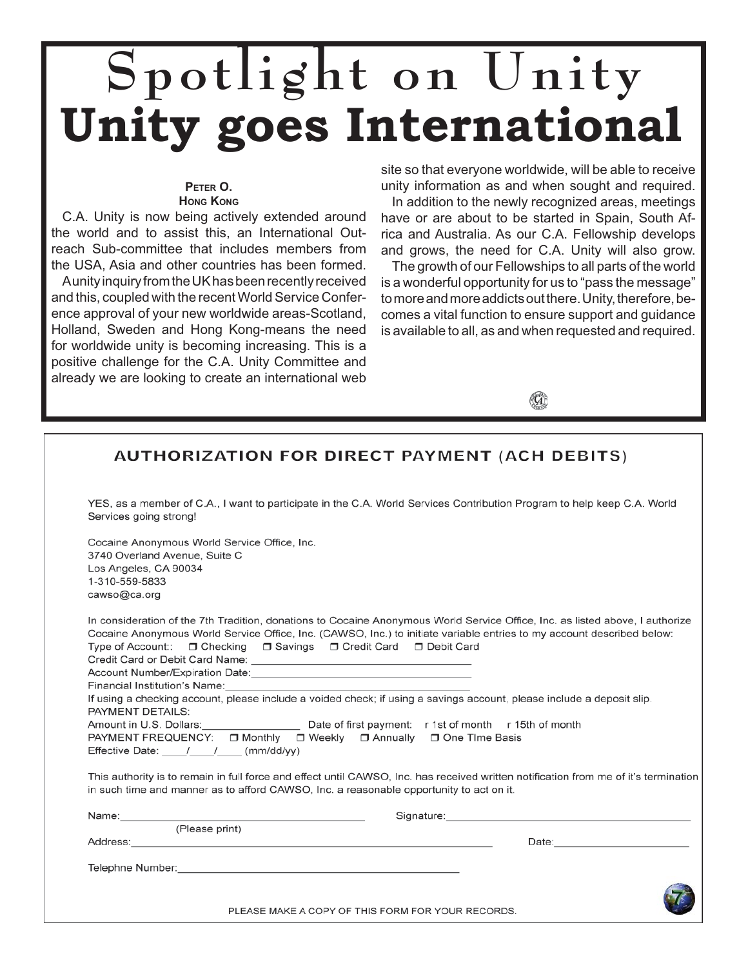## **Spotlight on Unity Unity goes International**

#### **PETER O. HONG KONG**

C.A. Unity is now being actively extended around the world and to assist this, an International Outreach Sub-committee that includes members from

the USA, Asia and other countries has been formed. A unity inquiry from the UK has been recently received and this, coupled with the recent World Service Conference approval of your new worldwide areas-Scotland, Holland, Sweden and Hong Kong-means the need for worldwide unity is becoming increasing. This is a positive challenge for the C.A. Unity Committee and already we are looking to create an international web

site so that everyone worldwide, will be able to receive unity information as and when sought and required.

In addition to the newly recognized areas, meetings have or are about to be started in Spain, South Africa and Australia. As our C.A. Fellowship develops and grows, the need for C.A. Unity will also grow.

The growth of our Fellowships to all parts of the world is a wonderful opportunity for us to "pass the message" to more and more addicts out there. Unity, therefore, becomes a vital function to ensure support and guidance is available to all, as and when requested and required.



#### **AUTHORIZATION FOR DIRECT PAYMENT (ACH DEBITS)** YES, as a member of C.A., I want to participate in the C.A. World Services Contribution Program to help keep C.A. World Services going strong! Cocaine Anonymous World Service Office, Inc. 3740 Overland Avenue, Suite C Los Angeles, CA 90034 1-310-559-5833 cawso@ca.org In consideration of the 7th Tradition, donations to Cocaine Anonymous World Service Office, Inc. as listed above, I authorize Cocaine Anonymous World Service Office, Inc. (CAWSO, Inc.) to initiate variable entries to my account described below: Type of Account:: □ Checking □ Savings □ Credit Card □ Debit Card Credit Card or Debit Card Name: \_ Account Number/Expiration Date: Financial Institution's Name: If using a checking account, please include a voided check; if using a savings account, please include a deposit slip. PAYMENT DETAILS: Amount in U.S. Dollars: Date of first payment: r 1st of month r 15th of month PAYMENT FREQUENCY: □ Monthly □ Weekly □ Annually □ One Time Basis Effective Date: / / / (mm/dd/yy) This authority is to remain in full force and effect until CAWSO, Inc. has received written notification from me of it's termination in such time and manner as to afford CAWSO, Inc. a reasonable opportunity to act on it. Name: Signature: (Please print) Address: Date: Telephne Number:<br>
Telephne Number: PLEASE MAKE A COPY OF THIS FORM FOR YOUR RECORDS.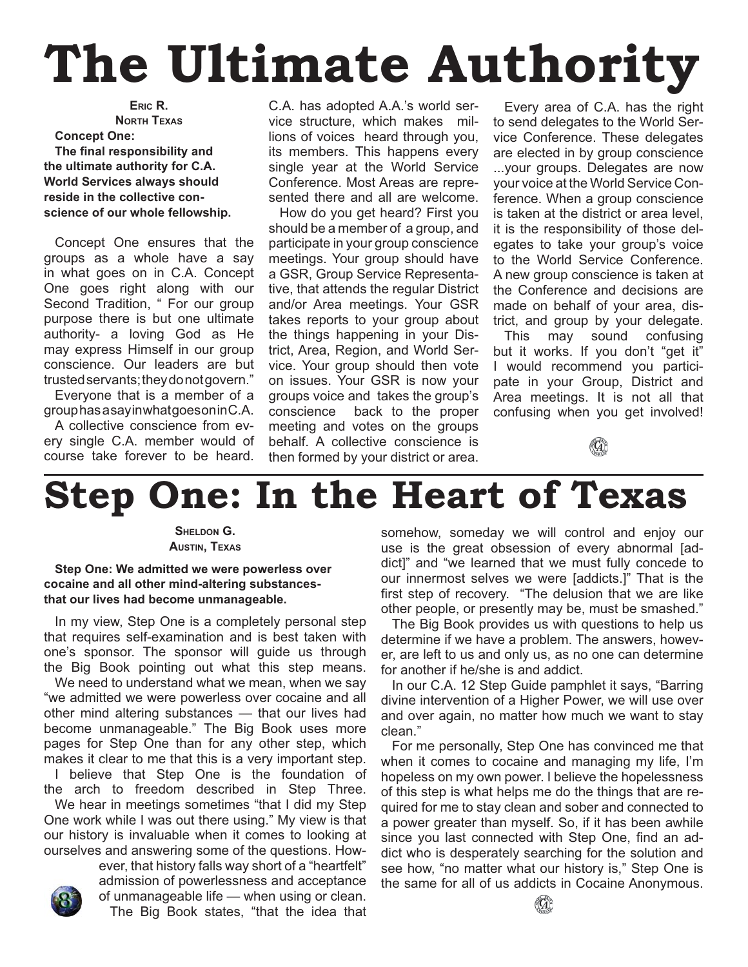## **The Ultimate Authority**

**ERIC R. NORTH TEXAS Concept One: The final responsibility and the ultimate authority for C.A. World Services always should reside in the collective conscience of our whole fellowship.**

Concept One ensures that the groups as a whole have a say in what goes on in C.A. Concept One goes right along with our Second Tradition, " For our group purpose there is but one ultimate authority- a loving God as He may express Himself in our group conscience. Our leaders are but trusted servants; they do not govern."

Everyone that is a member of a group has a say in what goes on in C.A.

A collective conscience from every single C.A. member would of course take forever to be heard.

C.A. has adopted A.A.'s world service structure, which makes millions of voices heard through you, its members. This happens every single year at the World Service Conference. Most Areas are represented there and all are welcome.

How do you get heard? First you should be a member of a group, and participate in your group conscience meetings. Your group should have a GSR, Group Service Representative, that attends the regular District and/or Area meetings. Your GSR takes reports to your group about the things happening in your District, Area, Region, and World Service. Your group should then vote on issues. Your GSR is now your groups voice and takes the group's conscience back to the proper meeting and votes on the groups behalf. A collective conscience is then formed by your district or area.

Every area of C.A. has the right to send delegates to the World Service Conference. These delegates are elected in by group conscience ...your groups. Delegates are now your voice at the World Service Conference. When a group conscience is taken at the district or area level, it is the responsibility of those delegates to take your group's voice to the World Service Conference. A new group conscience is taken at the Conference and decisions are made on behalf of your area, district, and group by your delegate.

This may sound confusing but it works. If you don't "get it" I would recommend you participate in your Group, District and Area meetings. It is not all that confusing when you get involved!



## **Step One: In the Heart of Texas**

**SHELDON G. AUSTIN, TEXAS**

**Step One: We admitted we were powerless over cocaine and all other mind-altering substancesthat our lives had become unmanageable.**

In my view, Step One is a completely personal step that requires self-examination and is best taken with one's sponsor. The sponsor will guide us through the Big Book pointing out what this step means.

We need to understand what we mean, when we say "we admitted we were powerless over cocaine and all other mind altering substances — that our lives had become unmanageable." The Big Book uses more pages for Step One than for any other step, which makes it clear to me that this is a very important step. I believe that Step One is the foundation of

the arch to freedom described in Step Three. We hear in meetings sometimes "that I did my Step

One work while I was out there using." My view is that our history is invaluable when it comes to looking at ourselves and answering some of the questions. How-

ever, that history falls way short of a "heartfelt" admission of powerlessness and acceptance of unmanageable life — when using or clean. The Big Book states, "that the idea that somehow, someday we will control and enjoy our use is the great obsession of every abnormal [addict]" and "we learned that we must fully concede to our innermost selves we were [addicts.]" That is the first step of recovery. "The delusion that we are like other people, or presently may be, must be smashed."

The Big Book provides us with questions to help us determine if we have a problem. The answers, however, are left to us and only us, as no one can determine for another if he/she is and addict.

In our C.A. 12 Step Guide pamphlet it says, "Barring divine intervention of a Higher Power, we will use over and over again, no matter how much we want to stay clean."

For me personally, Step One has convinced me that when it comes to cocaine and managing my life, I'm hopeless on my own power. I believe the hopelessness of this step is what helps me do the things that are required for me to stay clean and sober and connected to a power greater than myself. So, if it has been awhile since you last connected with Step One, find an addict who is desperately searching for the solution and see how, "no matter what our history is," Step One is the same for all of us addicts in Cocaine Anonymous.

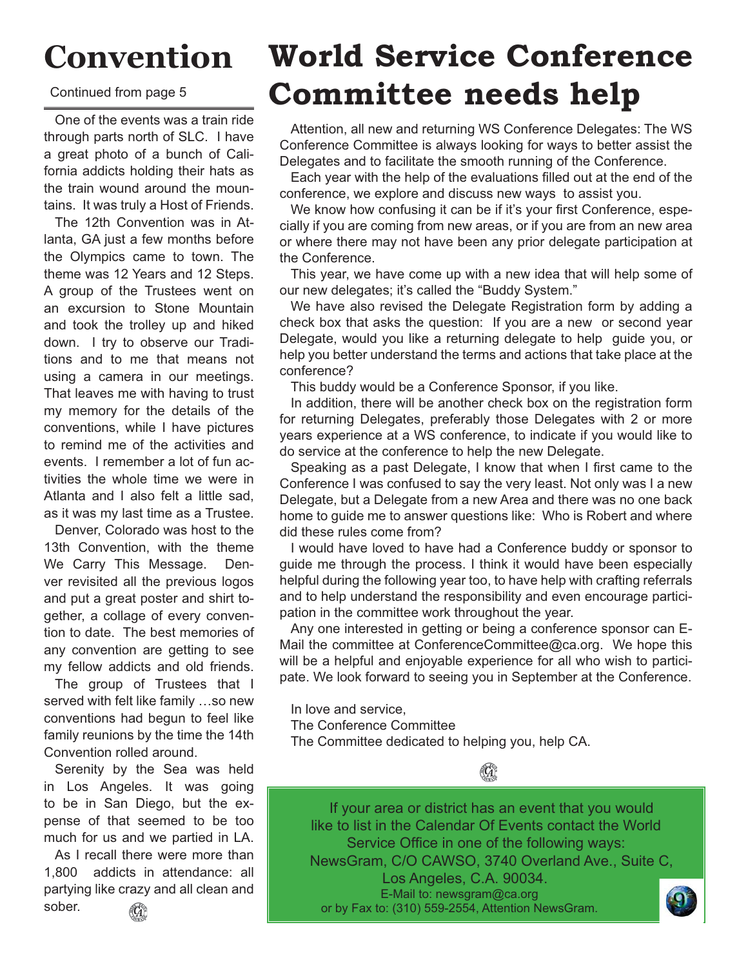## **Convention**

Continued from page 5

One of the events was a train ride through parts north of SLC. I have a great photo of a bunch of California addicts holding their hats as the train wound around the mountains. It was truly a Host of Friends.

The 12th Convention was in Atlanta, GA just a few months before the Olympics came to town. The theme was 12 Years and 12 Steps. A group of the Trustees went on an excursion to Stone Mountain and took the trolley up and hiked down. I try to observe our Traditions and to me that means not using a camera in our meetings. That leaves me with having to trust my memory for the details of the conventions, while I have pictures to remind me of the activities and events. I remember a lot of fun activities the whole time we were in Atlanta and I also felt a little sad, as it was my last time as a Trustee.

Denver, Colorado was host to the 13th Convention, with the theme We Carry This Message. Denver revisited all the previous logos and put a great poster and shirt together, a collage of every convention to date. The best memories of any convention are getting to see my fellow addicts and old friends.

The group of Trustees that I served with felt like family …so new conventions had begun to feel like family reunions by the time the 14th Convention rolled around.

Serenity by the Sea was held in Los Angeles. It was going to be in San Diego, but the expense of that seemed to be too much for us and we partied in LA.

As I recall there were more than 1,800 addicts in attendance: all partying like crazy and all clean and sober.  $(\mathbb{C})$ 

### **World Service Conference Committee needs help**

Attention, all new and returning WS Conference Delegates: The WS Conference Committee is always looking for ways to better assist the Delegates and to facilitate the smooth running of the Conference.

Each year with the help of the evaluations filled out at the end of the conference, we explore and discuss new ways to assist you.

We know how confusing it can be if it's your first Conference, especially if you are coming from new areas, or if you are from an new area or where there may not have been any prior delegate participation at the Conference.

This year, we have come up with a new idea that will help some of our new delegates; it's called the "Buddy System."

We have also revised the Delegate Registration form by adding a check box that asks the question: If you are a new or second year Delegate, would you like a returning delegate to help guide you, or help you better understand the terms and actions that take place at the conference?

This buddy would be a Conference Sponsor, if you like.

In addition, there will be another check box on the registration form for returning Delegates, preferably those Delegates with 2 or more years experience at a WS conference, to indicate if you would like to do service at the conference to help the new Delegate.

Speaking as a past Delegate, I know that when I first came to the Conference I was confused to say the very least. Not only was I a new Delegate, but a Delegate from a new Area and there was no one back home to guide me to answer questions like: Who is Robert and where did these rules come from?

I would have loved to have had a Conference buddy or sponsor to guide me through the process. I think it would have been especially helpful during the following year too, to have help with crafting referrals and to help understand the responsibility and even encourage participation in the committee work throughout the year.

Any one interested in getting or being a conference sponsor can E-Mail the committee at ConferenceCommittee@ca.org. We hope this will be a helpful and enjoyable experience for all who wish to participate. We look forward to seeing you in September at the Conference.

In love and service,

The Conference Committee

The Committee dedicated to helping you, help CA.

If your area or district has an event that you would like to list in the Calendar Of Events contact the World Service Office in one of the following ways: NewsGram, C/O CAWSO, 3740 Overland Ave., Suite C, Los Angeles, C.A. 90034. E-Mail to: newsgram@ca.org or by Fax to: (310) 559-2554, Attention NewsGram.

 $\mathbb{G}$ 

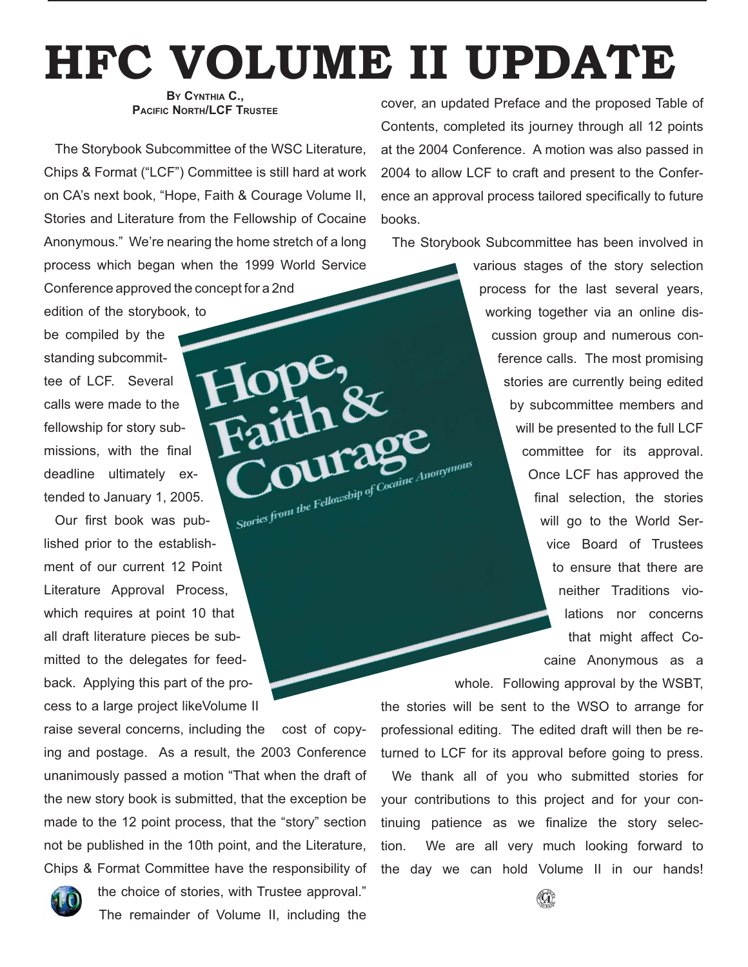## **HFC VOLUME II UPDATE**

#### **BY CYNTHIA C., PACIFIC NORTH/LCF TRUSTEE**

The Storybook Subcommittee of the WSC Literature, Chips & Format ("LCF") Committee is still hard at work on CA's next book, "Hope, Faith & Courage Volume II, Stories and Literature from the Fellowship of Cocaine Anonymous." We're nearing the home stretch of a long process which began when the 1999 World Service Conference approved the concept for a 2nd

edition of the storybook, to be compiled by the standing subcommittee of LCF. Several calls were made to the fellowship for story submissions, with the final deadline ultimately extended to January 1, 2005.

Stories from the Fellowship of Cocaine Anonymous Our first book was published prior to the establishment of our current 12 Point Literature Approval Process, which requires at point 10 that all draft literature pieces be submitted to the delegates for feedback. Applying this part of the process to a large project likeVolume II

raise several concerns, including the cost of copying and postage. As a result, the 2003 Conference unanimously passed a motion "That when the draft of the new story book is submitted, that the exception be made to the 12 point process, that the "story" section not be published in the 10th point, and the Literature, Chips & Format Committee have the responsibility of



the choice of stories, with Trustee approval." The remainder of Volume II, including the

cover, an updated Preface and the proposed Table of Contents, completed its journey through all 12 points at the 2004 Conference. A motion was also passed in 2004 to allow LCF to craft and present to the Conference an approval process tailored specifically to future books.

The Storybook Subcommittee has been involved in

various stages of the story selection process for the last several years, working together via an online discussion group and numerous conference calls. The most promising stories are currently being edited by subcommittee members and will be presented to the full LCF committee for its approval. Once LCF has approved the final selection, the stories will go to the World Service Board of Trustees to ensure that there are neither Traditions violations nor concerns that might affect Cocaine Anonymous as a

whole. Following approval by the WSBT, the stories will be sent to the WSO to arrange for professional editing. The edited draft will then be returned to LCF for its approval before going to press.

We thank all of you who submitted stories for your contributions to this project and for your continuing patience as we finalize the story selection. We are all very much looking forward to the day we can hold Volume II in our hands!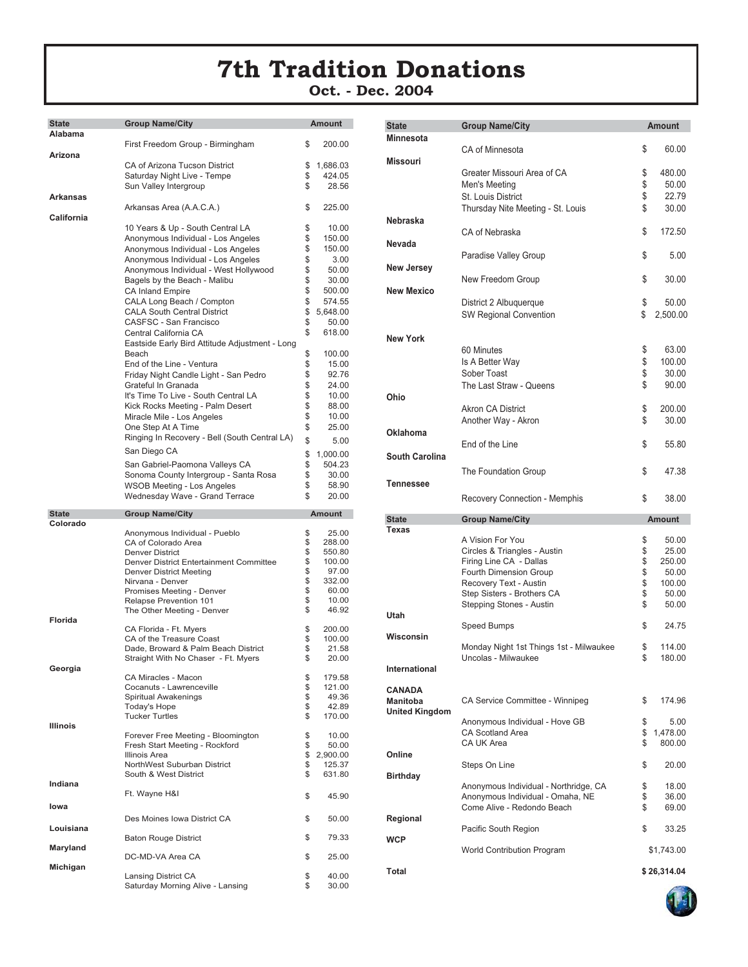### **7th Tradition Donations**

**Oct. - Dec. 2004**

| <b>State</b>    | <b>Group Name/City</b>                                                     | <b>Amount</b> |                    |
|-----------------|----------------------------------------------------------------------------|---------------|--------------------|
| Alabama         |                                                                            |               |                    |
|                 | First Freedom Group - Birmingham                                           | \$            | 200.00             |
| Arizona         |                                                                            |               |                    |
|                 | CA of Arizona Tucson District                                              | \$            | 1,686.03           |
|                 | Saturday Night Live - Tempe                                                | \$            | 424.05             |
|                 | Sun Valley Intergroup                                                      | \$            | 28.56              |
| Arkansas        |                                                                            |               |                    |
|                 | Arkansas Area (A.A.C.A.)                                                   | \$            | 225.00             |
| California      |                                                                            | \$            | 10.00              |
|                 | 10 Years & Up - South Central LA                                           |               |                    |
|                 | Anonymous Individual - Los Angeles                                         | \$<br>\$      | 150.00<br>150.00   |
|                 | Anonymous Individual - Los Angeles<br>Anonymous Individual - Los Angeles   | \$            | 3.00               |
|                 |                                                                            | \$            | 50.00              |
|                 | Anonymous Individual - West Hollywood                                      | \$            | 30.00              |
|                 | Bagels by the Beach - Malibu<br><b>CA Inland Empire</b>                    | \$            | 500.00             |
|                 | CALA Long Beach / Compton                                                  | \$            | 574.55             |
|                 | <b>CALA South Central District</b>                                         | \$            | 5,648.00           |
|                 | CASFSC - San Francisco                                                     | \$            |                    |
|                 |                                                                            | \$            | 50.00              |
|                 | Central California CA                                                      |               | 618.00             |
|                 | Eastside Early Bird Attitude Adjustment - Long                             |               |                    |
|                 | Beach<br>End of the Line - Ventura                                         | \$<br>\$      | 100.00             |
|                 |                                                                            | \$            | 15.00<br>92.76     |
|                 | Friday Night Candle Light - San Pedro<br>Grateful In Granada               | \$            |                    |
|                 |                                                                            | \$            | 24.00              |
|                 | It's Time To Live - South Central LA                                       | \$            | 10.00              |
|                 | Kick Rocks Meeting - Palm Desert                                           | \$            | 88.00              |
|                 | Miracle Mile - Los Angeles                                                 | \$            | 10.00              |
|                 | One Step At A Time                                                         |               | 25.00              |
|                 | Ringing In Recovery - Bell (South Central LA)                              | \$            | 5.00               |
|                 | San Diego CA                                                               | \$            | 1,000.00           |
|                 | San Gabriel-Paomona Valleys CA                                             | \$            | 504.23             |
|                 | Sonoma County Intergroup - Santa Rosa                                      | \$            | 30.00              |
|                 | WSOB Meeting - Los Angeles                                                 | \$            | 58.90              |
|                 | Wednesday Wave - Grand Terrace                                             | \$            | 20.00              |
|                 |                                                                            |               |                    |
|                 |                                                                            |               |                    |
| <b>State</b>    | <b>Group Name/City</b>                                                     |               | <b>Amount</b>      |
| Colorado        | Anonymous Individual - Pueblo                                              | \$            | 25.00              |
|                 | CA of Colorado Area                                                        | \$            | 288.00             |
|                 | <b>Denver District</b>                                                     | \$            | 550.80             |
|                 | Denver District Entertainment Committee                                    | \$            | 100.00             |
|                 | <b>Denver District Meeting</b>                                             | \$            | 97.00              |
|                 | Nirvana - Denver                                                           | \$            | 332.00             |
|                 | Promises Meeting - Denver                                                  | \$            | 60.00              |
|                 | Relapse Prevention 101                                                     | \$            | 10.00              |
|                 | The Other Meeting - Denver                                                 | \$            | 46.92              |
| Florida         |                                                                            |               |                    |
|                 | CA Florida - Ft. Myers                                                     | \$            | 200.00             |
|                 | CA of the Treasure Coast                                                   | \$<br>\$      | 100.00<br>21.58    |
|                 | Dade, Broward & Palm Beach District<br>Straight With No Chaser - Ft. Myers | \$            | 20.00              |
| Georgia         |                                                                            |               |                    |
|                 | CA Miracles - Macon                                                        | \$            | 179.58             |
|                 | Cocanuts - Lawrenceville                                                   | \$            | 121.00             |
|                 | Spiritual Awakenings                                                       | \$            | 49.36              |
|                 | <b>Today's Hope</b>                                                        | \$            | 42.89              |
|                 | <b>Tucker Turtles</b>                                                      | \$            | 170.00             |
| <b>Illinois</b> |                                                                            |               |                    |
|                 | Forever Free Meeting - Bloomington                                         | \$            | 10.00              |
|                 | Fresh Start Meeting - Rockford<br><b>Illinois Area</b>                     | \$            | 50.00              |
|                 | NorthWest Suburban District                                                | \$<br>\$      | 2,900.00<br>125.37 |
|                 | South & West District                                                      | \$            | 631.80             |
| Indiana         |                                                                            |               |                    |
|                 | Ft. Wayne H&I                                                              | \$            | 45.90              |
| lowa            |                                                                            |               |                    |
|                 |                                                                            |               |                    |
|                 | Des Moines Iowa District CA                                                | \$            | 50.00              |
| Louisiana       | <b>Baton Rouge District</b>                                                | \$            | 79.33              |
| Maryland        |                                                                            |               |                    |
|                 | DC-MD-VA Area CA                                                           | \$            | 25.00              |
| Michigan        |                                                                            |               |                    |
|                 | Lansing District CA<br>Saturday Morning Alive - Lansing                    | \$<br>\$      | 40.00<br>30.00     |

| <b>State</b>          | <b>Group Name/City</b>                  | <b>Amount</b>  |
|-----------------------|-----------------------------------------|----------------|
| <b>Minnesota</b>      |                                         |                |
|                       | CA of Minnesota                         | \$<br>60.00    |
| <b>Missouri</b>       |                                         |                |
|                       | Greater Missouri Area of CA             | \$<br>480.00   |
|                       | Men's Meeting                           | \$<br>50.00    |
|                       | <b>St. Louis District</b>               | \$<br>22.79    |
|                       | Thursday Nite Meeting - St. Louis       | \$<br>30.00    |
| <b>Nebraska</b>       |                                         |                |
|                       | CA of Nebraska                          |                |
|                       |                                         | \$<br>172.50   |
| Nevada                |                                         |                |
|                       | Paradise Valley Group                   | \$<br>5.00     |
| <b>New Jersey</b>     |                                         |                |
|                       | New Freedom Group                       | \$<br>30.00    |
| <b>New Mexico</b>     |                                         |                |
|                       | District 2 Albuquerque                  | \$<br>50.00    |
|                       | <b>SW Regional Convention</b>           | \$<br>2,500.00 |
|                       |                                         |                |
| <b>New York</b>       |                                         |                |
|                       | 60 Minutes                              | \$<br>63.00    |
|                       |                                         | 100.00         |
|                       | Is A Better Way                         | \$             |
|                       | Sober Toast                             | \$<br>30.00    |
|                       | The Last Straw - Queens                 | \$<br>90.00    |
| Ohio                  |                                         |                |
|                       | Akron CA District                       | \$<br>200.00   |
|                       | Another Way - Akron                     | \$<br>30.00    |
| <b>Oklahoma</b>       |                                         |                |
|                       | End of the Line                         | \$<br>55.80    |
| <b>South Carolina</b> |                                         |                |
|                       |                                         |                |
|                       | The Foundation Group                    | \$<br>47.38    |
| <b>Tennessee</b>      |                                         |                |
|                       | Recovery Connection - Memphis           | \$<br>38.00    |
|                       |                                         |                |
| <b>State</b>          | <b>Group Name/City</b>                  | <b>Amount</b>  |
| Texas                 |                                         |                |
|                       | A Vision For You                        | \$<br>50.00    |
|                       | Circles & Triangles - Austin            | \$<br>25.00    |
|                       | Firing Line CA - Dallas                 | \$<br>250.00   |
|                       | Fourth Dimension Group                  | \$<br>50.00    |
|                       | Recovery Text - Austin                  | \$<br>100.00   |
|                       | Step Sisters - Brothers CA              | \$<br>50.00    |
|                       | Stepping Stones - Austin                | \$<br>50.00    |
| Utah                  |                                         |                |
|                       | Speed Bumps                             | \$<br>24.75    |
| Wisconsin             |                                         |                |
|                       | Monday Night 1st Things 1st - Milwaukee | \$<br>114.00   |
|                       | Uncolas - Milwaukee                     | \$<br>180.00   |
| International         |                                         |                |
|                       |                                         |                |
| <b>CANADA</b>         |                                         |                |
| <b>Manitoba</b>       | CA Service Committee - Winnipeg         | \$<br>174.96   |
| <b>United Kingdom</b> |                                         |                |
|                       | Anonymous Individual - Hove GB          | \$<br>5.00     |
|                       | <b>CA Scotland Area</b>                 | \$<br>1,478.00 |
|                       | CA UK Area                              | \$<br>800.00   |
| Online                |                                         |                |
|                       | Steps On Line                           | \$<br>20.00    |
| <b>Birthday</b>       |                                         |                |
|                       | Anonymous Individual - Northridge, CA   | \$<br>18.00    |
|                       | Anonymous Individual - Omaha, NE        | \$<br>36.00    |
|                       | Come Alive - Redondo Beach              | \$<br>69.00    |
| Regional              |                                         |                |
|                       | Pacific South Region                    | \$<br>33.25    |
| <b>WCP</b>            |                                         |                |
|                       | World Contribution Program              | \$1,743.00     |
|                       |                                         |                |
|                       |                                         |                |
| Total                 |                                         | \$26,314.04    |